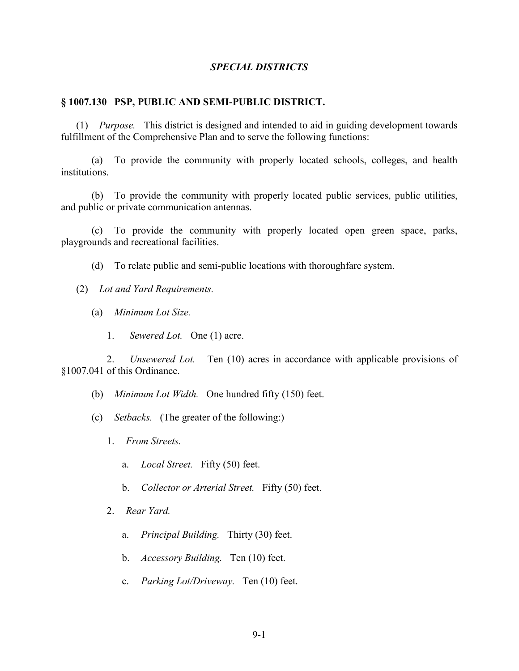### *SPECIAL DISTRICTS*

## **§ 1007.130 PSP, PUBLIC AND SEMI-PUBLIC DISTRICT.**

(1) *Purpose.* This district is designed and intended to aid in guiding development towards fulfillment of the Comprehensive Plan and to serve the following functions:

(a) To provide the community with properly located schools, colleges, and health institutions.

(b) To provide the community with properly located public services, public utilities, and public or private communication antennas.

(c) To provide the community with properly located open green space, parks, playgrounds and recreational facilities.

(d) To relate public and semi-public locations with thoroughfare system.

(2) *Lot and Yard Requirements.*

- (a) *Minimum Lot Size.* 
	- 1. *Sewered Lot.* One (1) acre.

2. *Unsewered Lot.* Ten (10) acres in accordance with applicable provisions of §1007.041 of this Ordinance.

(b) *Minimum Lot Width.* One hundred fifty (150) feet.

- (c) *Setbacks.* (The greater of the following:)
	- 1. *From Streets.*
		- a. *Local Street.* Fifty (50) feet.
		- b. *Collector or Arterial Street.* Fifty (50) feet.
	- 2. *Rear Yard.*
		- a. *Principal Building.* Thirty (30) feet.
		- b. *Accessory Building.* Ten (10) feet.
		- c. *Parking Lot/Driveway.* Ten (10) feet.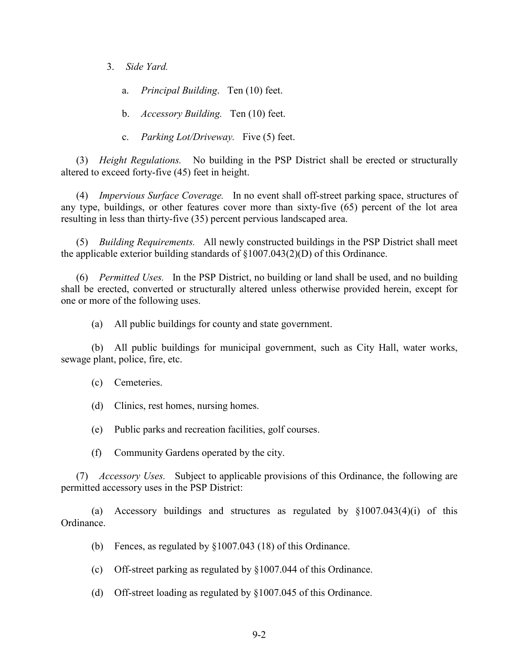3. *Side Yard.*

a. *Principal Building*. Ten (10) feet.

b. *Accessory Building.* Ten (10) feet.

c. *Parking Lot/Driveway.* Five (5) feet.

(3) *Height Regulations.* No building in the PSP District shall be erected or structurally altered to exceed forty-five (45) feet in height.

(4) *Impervious Surface Coverage.* In no event shall off-street parking space, structures of any type, buildings, or other features cover more than sixty-five (65) percent of the lot area resulting in less than thirty-five (35) percent pervious landscaped area.

(5) *Building Requirements.* All newly constructed buildings in the PSP District shall meet the applicable exterior building standards of §1007.043(2)(D) of this Ordinance.

(6) *Permitted Uses.* In the PSP District, no building or land shall be used, and no building shall be erected, converted or structurally altered unless otherwise provided herein, except for one or more of the following uses.

(a) All public buildings for county and state government.

(b) All public buildings for municipal government, such as City Hall, water works, sewage plant, police, fire, etc.

(c) Cemeteries.

(d) Clinics, rest homes, nursing homes.

(e) Public parks and recreation facilities, golf courses.

(f) Community Gardens operated by the city.

(7) *Accessory Uses.* Subject to applicable provisions of this Ordinance, the following are permitted accessory uses in the PSP District:

(a) Accessory buildings and structures as regulated by §1007.043(4)(i) of this Ordinance.

(b) Fences, as regulated by §1007.043 (18) of this Ordinance.

(c) Off-street parking as regulated by §1007.044 of this Ordinance.

(d) Off-street loading as regulated by §1007.045 of this Ordinance.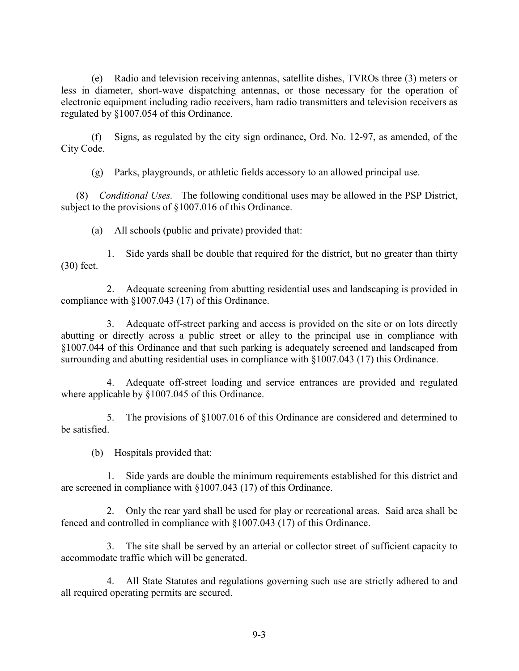(e) Radio and television receiving antennas, satellite dishes, TVROs three (3) meters or less in diameter, short-wave dispatching antennas, or those necessary for the operation of electronic equipment including radio receivers, ham radio transmitters and television receivers as regulated by §1007.054 of this Ordinance.

(f) Signs, as regulated by the city sign ordinance, Ord. No. 12-97, as amended, of the City Code.

(g) Parks, playgrounds, or athletic fields accessory to an allowed principal use.

(8) *Conditional Uses.* The following conditional uses may be allowed in the PSP District, subject to the provisions of  $\S 1007.016$  of this Ordinance.

(a) All schools (public and private) provided that:

1. Side yards shall be double that required for the district, but no greater than thirty (30) feet.

2. Adequate screening from abutting residential uses and landscaping is provided in compliance with §1007.043 (17) of this Ordinance.

3. Adequate off-street parking and access is provided on the site or on lots directly abutting or directly across a public street or alley to the principal use in compliance with §1007.044 of this Ordinance and that such parking is adequately screened and landscaped from surrounding and abutting residential uses in compliance with §1007.043 (17) this Ordinance.

4. Adequate off-street loading and service entrances are provided and regulated where applicable by §1007.045 of this Ordinance.

5. The provisions of §1007.016 of this Ordinance are considered and determined to be satisfied.

(b) Hospitals provided that:

1. Side yards are double the minimum requirements established for this district and are screened in compliance with §1007.043 (17) of this Ordinance.

2. Only the rear yard shall be used for play or recreational areas. Said area shall be fenced and controlled in compliance with §1007.043 (17) of this Ordinance.

3. The site shall be served by an arterial or collector street of sufficient capacity to accommodate traffic which will be generated.

4. All State Statutes and regulations governing such use are strictly adhered to and all required operating permits are secured.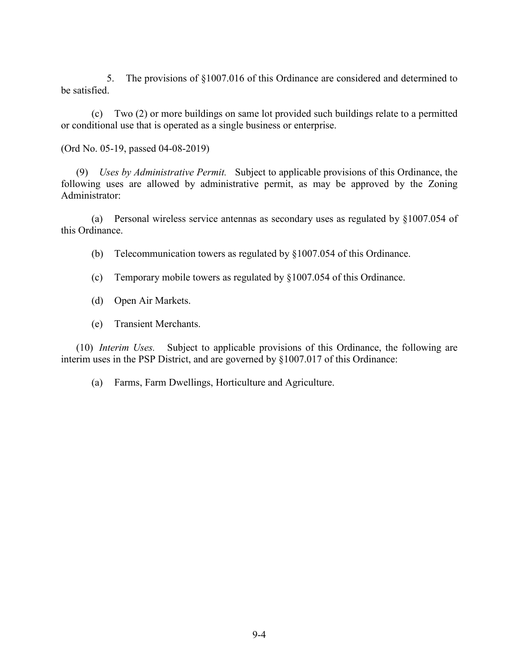5. The provisions of §1007.016 of this Ordinance are considered and determined to be satisfied.

(c) Two (2) or more buildings on same lot provided such buildings relate to a permitted or conditional use that is operated as a single business or enterprise.

(Ord No. 05-19, passed 04-08-2019)

(9) *Uses by Administrative Permit.* Subject to applicable provisions of this Ordinance, the following uses are allowed by administrative permit, as may be approved by the Zoning Administrator:

(a) Personal wireless service antennas as secondary uses as regulated by §1007.054 of this Ordinance.

- (b) Telecommunication towers as regulated by §1007.054 of this Ordinance.
- (c) Temporary mobile towers as regulated by §1007.054 of this Ordinance.
- (d) Open Air Markets.
- (e) Transient Merchants.

(10) *Interim Uses.* Subject to applicable provisions of this Ordinance, the following are interim uses in the PSP District, and are governed by §1007.017 of this Ordinance:

(a) Farms, Farm Dwellings, Horticulture and Agriculture.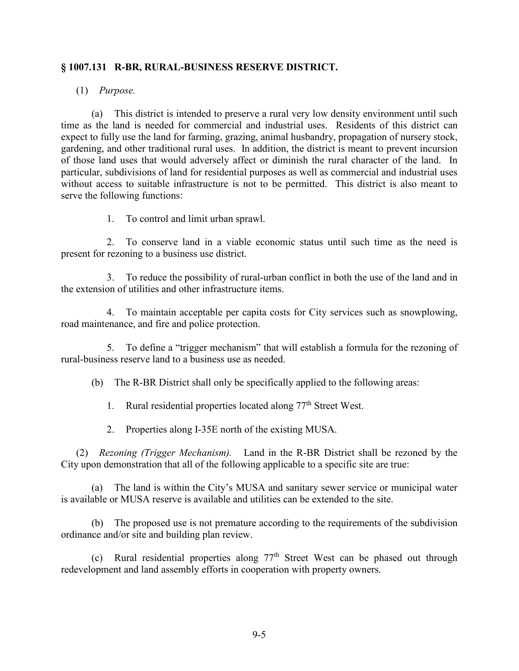## **§ 1007.131 R-BR, RURAL-BUSINESS RESERVE DISTRICT.**

## (1) *Purpose.*

(a) This district is intended to preserve a rural very low density environment until such time as the land is needed for commercial and industrial uses. Residents of this district can expect to fully use the land for farming, grazing, animal husbandry, propagation of nursery stock, gardening, and other traditional rural uses. In addition, the district is meant to prevent incursion of those land uses that would adversely affect or diminish the rural character of the land. In particular, subdivisions of land for residential purposes as well as commercial and industrial uses without access to suitable infrastructure is not to be permitted. This district is also meant to serve the following functions:

1. To control and limit urban sprawl.

2. To conserve land in a viable economic status until such time as the need is present for rezoning to a business use district.

3. To reduce the possibility of rural-urban conflict in both the use of the land and in the extension of utilities and other infrastructure items.

4. To maintain acceptable per capita costs for City services such as snowplowing, road maintenance, and fire and police protection.

5. To define a "trigger mechanism" that will establish a formula for the rezoning of rural-business reserve land to a business use as needed.

(b) The R-BR District shall only be specifically applied to the following areas:

1. Rural residential properties located along  $77<sup>th</sup>$  Street West.

2. Properties along I-35E north of the existing MUSA.

(2) *Rezoning (Trigger Mechanism).* Land in the R-BR District shall be rezoned by the City upon demonstration that all of the following applicable to a specific site are true:

(a) The land is within the City's MUSA and sanitary sewer service or municipal water is available or MUSA reserve is available and utilities can be extended to the site.

(b) The proposed use is not premature according to the requirements of the subdivision ordinance and/or site and building plan review.

(c) Rural residential properties along  $77<sup>th</sup>$  Street West can be phased out through redevelopment and land assembly efforts in cooperation with property owners.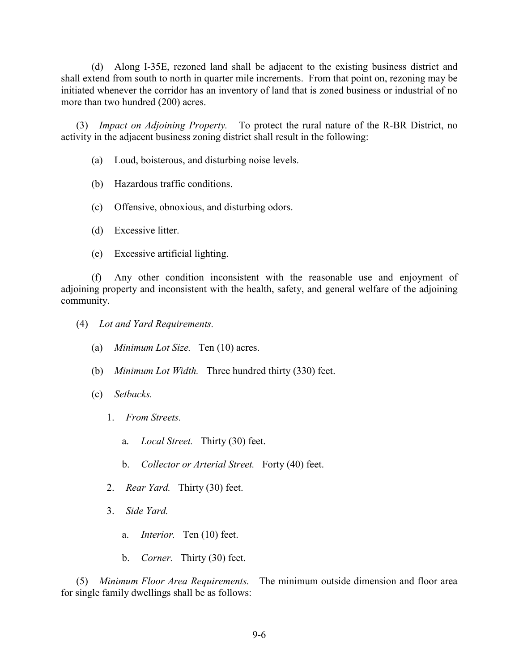(d) Along I-35E, rezoned land shall be adjacent to the existing business district and shall extend from south to north in quarter mile increments. From that point on, rezoning may be initiated whenever the corridor has an inventory of land that is zoned business or industrial of no more than two hundred (200) acres.

(3) *Impact on Adjoining Property.* To protect the rural nature of the R-BR District, no activity in the adjacent business zoning district shall result in the following:

- (a) Loud, boisterous, and disturbing noise levels.
- (b) Hazardous traffic conditions.
- (c) Offensive, obnoxious, and disturbing odors.
- (d) Excessive litter.
- (e) Excessive artificial lighting.

(f) Any other condition inconsistent with the reasonable use and enjoyment of adjoining property and inconsistent with the health, safety, and general welfare of the adjoining community.

- (4) *Lot and Yard Requirements.*
	- (a) *Minimum Lot Size.* Ten (10) acres.
	- (b) *Minimum Lot Width.* Three hundred thirty (330) feet.
	- (c) *Setbacks.* 
		- 1. *From Streets.*
			- a. *Local Street.* Thirty (30) feet.
			- b. *Collector or Arterial Street.* Forty (40) feet.
		- 2. *Rear Yard.* Thirty (30) feet.
		- 3. *Side Yard.*
			- a. *Interior.* Ten (10) feet.
			- b. *Corner.* Thirty (30) feet.

(5) *Minimum Floor Area Requirements.* The minimum outside dimension and floor area for single family dwellings shall be as follows: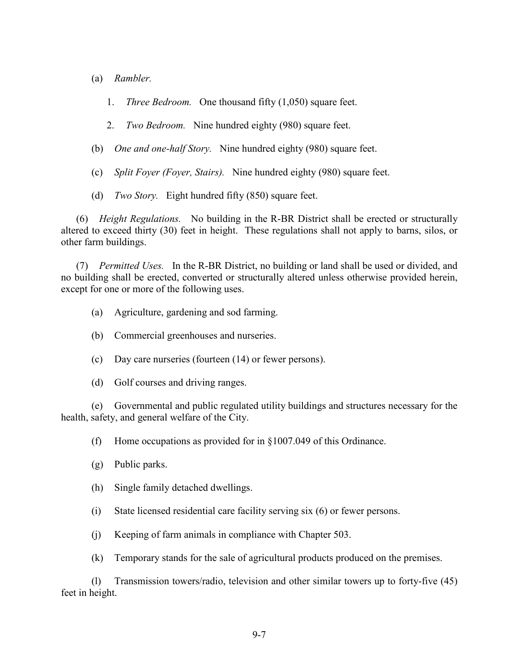(a) *Rambler.*

- 1. *Three Bedroom.* One thousand fifty (1,050) square feet.
- 2. *Two Bedroom.* Nine hundred eighty (980) square feet.
- (b) *One and one-half Story.* Nine hundred eighty (980) square feet.
- (c) *Split Foyer (Foyer, Stairs).* Nine hundred eighty (980) square feet.
- (d) *Two Story.* Eight hundred fifty (850) square feet.

(6) *Height Regulations.* No building in the R-BR District shall be erected or structurally altered to exceed thirty (30) feet in height. These regulations shall not apply to barns, silos, or other farm buildings.

(7) *Permitted Uses.* In the R-BR District, no building or land shall be used or divided, and no building shall be erected, converted or structurally altered unless otherwise provided herein, except for one or more of the following uses.

- (a) Agriculture, gardening and sod farming.
- (b) Commercial greenhouses and nurseries.
- (c) Day care nurseries (fourteen (14) or fewer persons).
- (d) Golf courses and driving ranges.

(e) Governmental and public regulated utility buildings and structures necessary for the health, safety, and general welfare of the City.

(f) Home occupations as provided for in §1007.049 of this Ordinance.

- (g) Public parks.
- (h) Single family detached dwellings.
- (i) State licensed residential care facility serving six (6) or fewer persons.
- (j) Keeping of farm animals in compliance with Chapter 503.
- (k) Temporary stands for the sale of agricultural products produced on the premises.

(l) Transmission towers/radio, television and other similar towers up to forty-five (45) feet in height.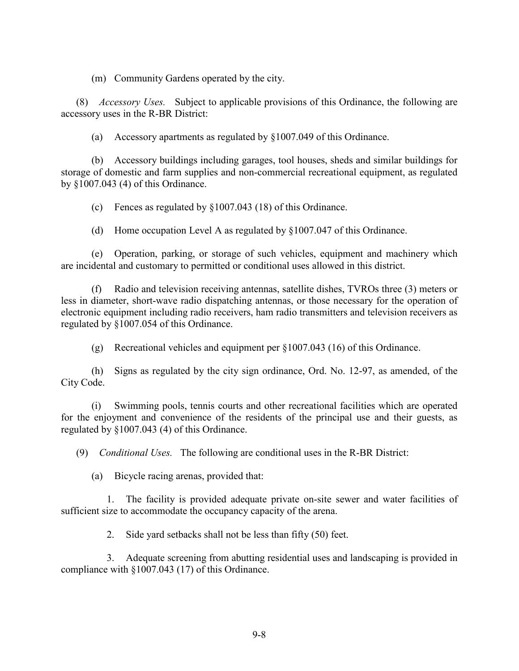(m) Community Gardens operated by the city.

(8) *Accessory Uses.* Subject to applicable provisions of this Ordinance, the following are accessory uses in the R-BR District:

(a) Accessory apartments as regulated by §1007.049 of this Ordinance.

(b) Accessory buildings including garages, tool houses, sheds and similar buildings for storage of domestic and farm supplies and non-commercial recreational equipment, as regulated by §1007.043 (4) of this Ordinance.

(c) Fences as regulated by §1007.043 (18) of this Ordinance.

(d) Home occupation Level A as regulated by §1007.047 of this Ordinance.

(e) Operation, parking, or storage of such vehicles, equipment and machinery which are incidental and customary to permitted or conditional uses allowed in this district.

(f) Radio and television receiving antennas, satellite dishes, TVROs three (3) meters or less in diameter, short-wave radio dispatching antennas, or those necessary for the operation of electronic equipment including radio receivers, ham radio transmitters and television receivers as regulated by §1007.054 of this Ordinance.

(g) Recreational vehicles and equipment per §1007.043 (16) of this Ordinance.

(h) Signs as regulated by the city sign ordinance, Ord. No. 12-97, as amended, of the City Code.

(i) Swimming pools, tennis courts and other recreational facilities which are operated for the enjoyment and convenience of the residents of the principal use and their guests, as regulated by §1007.043 (4) of this Ordinance.

(9) *Conditional Uses.* The following are conditional uses in the R-BR District:

(a) Bicycle racing arenas, provided that:

1. The facility is provided adequate private on-site sewer and water facilities of sufficient size to accommodate the occupancy capacity of the arena.

2. Side yard setbacks shall not be less than fifty (50) feet.

3. Adequate screening from abutting residential uses and landscaping is provided in compliance with §1007.043 (17) of this Ordinance.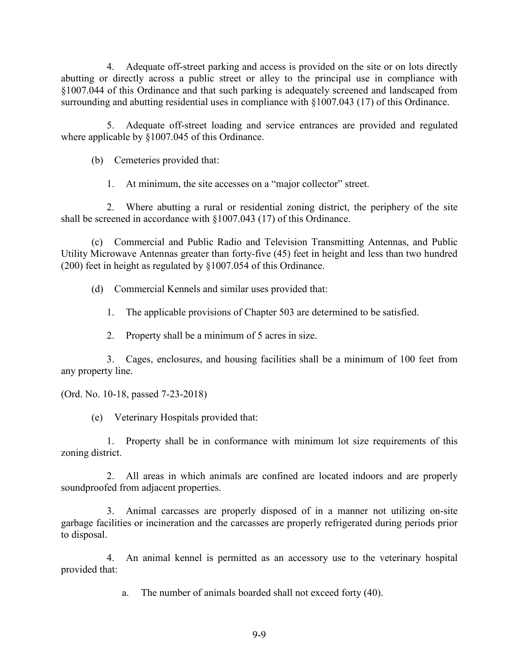4. Adequate off-street parking and access is provided on the site or on lots directly abutting or directly across a public street or alley to the principal use in compliance with §1007.044 of this Ordinance and that such parking is adequately screened and landscaped from surrounding and abutting residential uses in compliance with §1007.043 (17) of this Ordinance.

5. Adequate off-street loading and service entrances are provided and regulated where applicable by  $§1007.045$  of this Ordinance.

(b) Cemeteries provided that:

1. At minimum, the site accesses on a "major collector" street.

2. Where abutting a rural or residential zoning district, the periphery of the site shall be screened in accordance with §1007.043 (17) of this Ordinance.

(c) Commercial and Public Radio and Television Transmitting Antennas, and Public Utility Microwave Antennas greater than forty-five (45) feet in height and less than two hundred (200) feet in height as regulated by §1007.054 of this Ordinance.

(d) Commercial Kennels and similar uses provided that:

1. The applicable provisions of Chapter 503 are determined to be satisfied.

2. Property shall be a minimum of 5 acres in size.

3. Cages, enclosures, and housing facilities shall be a minimum of 100 feet from any property line.

(Ord. No. 10-18, passed 7-23-2018)

(e) Veterinary Hospitals provided that:

1. Property shall be in conformance with minimum lot size requirements of this zoning district.

2. All areas in which animals are confined are located indoors and are properly soundproofed from adjacent properties.

3. Animal carcasses are properly disposed of in a manner not utilizing on-site garbage facilities or incineration and the carcasses are properly refrigerated during periods prior to disposal.

4. An animal kennel is permitted as an accessory use to the veterinary hospital provided that:

a. The number of animals boarded shall not exceed forty (40).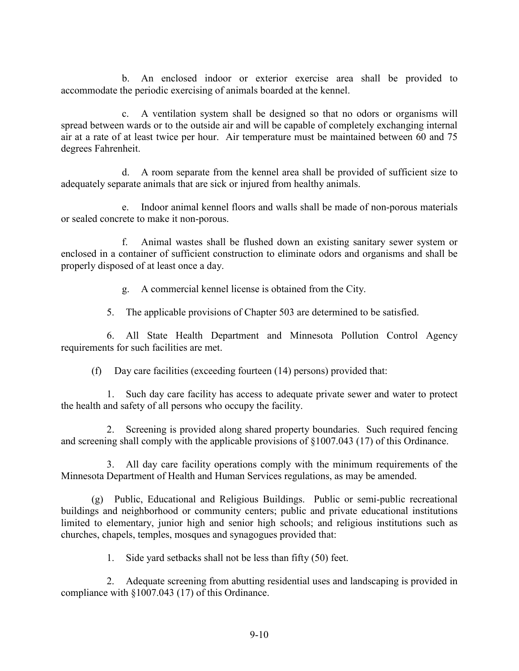b. An enclosed indoor or exterior exercise area shall be provided to accommodate the periodic exercising of animals boarded at the kennel.

c. A ventilation system shall be designed so that no odors or organisms will spread between wards or to the outside air and will be capable of completely exchanging internal air at a rate of at least twice per hour. Air temperature must be maintained between 60 and 75 degrees Fahrenheit.

d. A room separate from the kennel area shall be provided of sufficient size to adequately separate animals that are sick or injured from healthy animals.

e. Indoor animal kennel floors and walls shall be made of non-porous materials or sealed concrete to make it non-porous.

f. Animal wastes shall be flushed down an existing sanitary sewer system or enclosed in a container of sufficient construction to eliminate odors and organisms and shall be properly disposed of at least once a day.

g. A commercial kennel license is obtained from the City.

5. The applicable provisions of Chapter 503 are determined to be satisfied.

6. All State Health Department and Minnesota Pollution Control Agency requirements for such facilities are met.

(f) Day care facilities (exceeding fourteen (14) persons) provided that:

1. Such day care facility has access to adequate private sewer and water to protect the health and safety of all persons who occupy the facility.

2. Screening is provided along shared property boundaries. Such required fencing and screening shall comply with the applicable provisions of §1007.043 (17) of this Ordinance.

3. All day care facility operations comply with the minimum requirements of the Minnesota Department of Health and Human Services regulations, as may be amended.

(g) Public, Educational and Religious Buildings. Public or semi-public recreational buildings and neighborhood or community centers; public and private educational institutions limited to elementary, junior high and senior high schools; and religious institutions such as churches, chapels, temples, mosques and synagogues provided that:

1. Side yard setbacks shall not be less than fifty (50) feet.

2. Adequate screening from abutting residential uses and landscaping is provided in compliance with §1007.043 (17) of this Ordinance.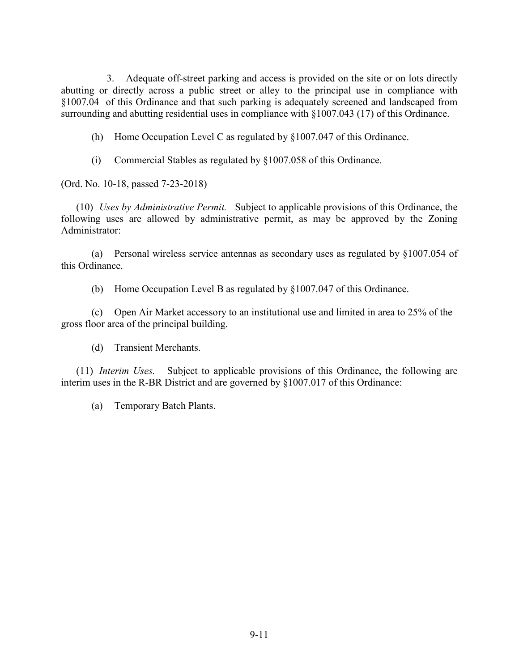3. Adequate off-street parking and access is provided on the site or on lots directly abutting or directly across a public street or alley to the principal use in compliance with §1007.04 of this Ordinance and that such parking is adequately screened and landscaped from surrounding and abutting residential uses in compliance with §1007.043 (17) of this Ordinance.

(h) Home Occupation Level C as regulated by §1007.047 of this Ordinance.

(i) Commercial Stables as regulated by §1007.058 of this Ordinance.

(Ord. No. 10-18, passed 7-23-2018)

(10) *Uses by Administrative Permit.* Subject to applicable provisions of this Ordinance, the following uses are allowed by administrative permit, as may be approved by the Zoning Administrator:

(a) Personal wireless service antennas as secondary uses as regulated by §1007.054 of this Ordinance.

(b) Home Occupation Level B as regulated by §1007.047 of this Ordinance.

(c) Open Air Market accessory to an institutional use and limited in area to 25% of the gross floor area of the principal building.

(d) Transient Merchants.

(11) *Interim Uses.* Subject to applicable provisions of this Ordinance, the following are interim uses in the R-BR District and are governed by §1007.017 of this Ordinance:

(a) Temporary Batch Plants.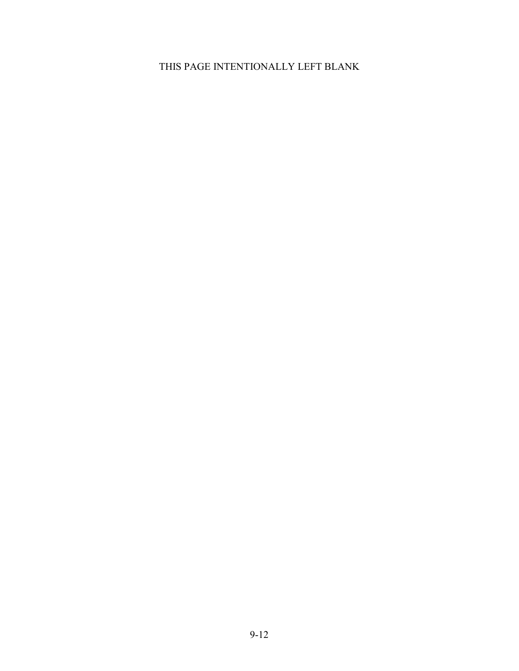# THIS PAGE INTENTIONALLY LEFT BLANK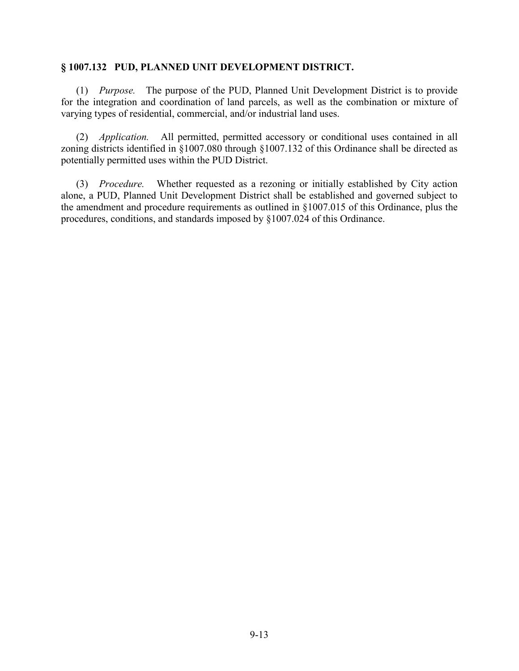### **§ 1007.132 PUD, PLANNED UNIT DEVELOPMENT DISTRICT.**

(1) *Purpose.* The purpose of the PUD, Planned Unit Development District is to provide for the integration and coordination of land parcels, as well as the combination or mixture of varying types of residential, commercial, and/or industrial land uses.

(2) *Application.* All permitted, permitted accessory or conditional uses contained in all zoning districts identified in §1007.080 through §1007.132 of this Ordinance shall be directed as potentially permitted uses within the PUD District.

(3) *Procedure.* Whether requested as a rezoning or initially established by City action alone, a PUD, Planned Unit Development District shall be established and governed subject to the amendment and procedure requirements as outlined in §1007.015 of this Ordinance, plus the procedures, conditions, and standards imposed by §1007.024 of this Ordinance.